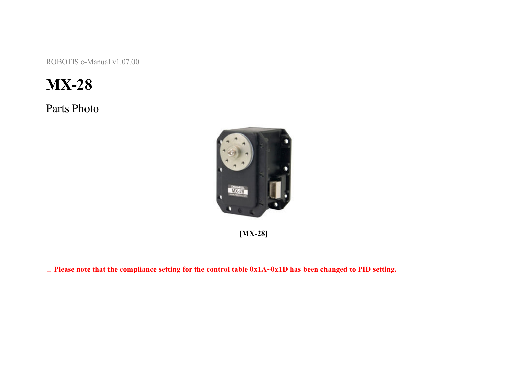ROBOTIS e-Manual v1.07.00

# **MX-28**

Parts Photo



**[MX-28]** 

Please note that the compliance setting for the control table  $0x1A~0x1D$  has been changed to PID setting.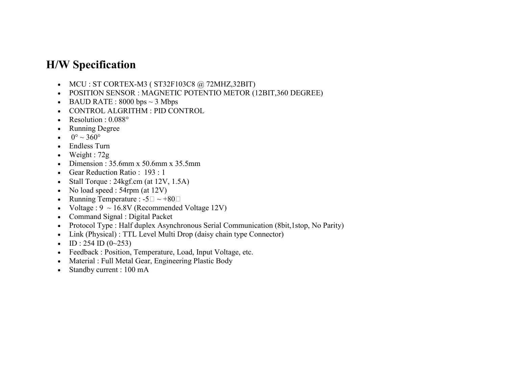# **H/W Specification**

- $\bullet$ MCU : ST CORTEX-M3 ( ST32F103C8 @ 72MHZ,32BIT)
- •POSITION SENSOR : MAGNETIC POTENTIO METOR (12BIT,360 DEGREE)
- •BAUD RATE :  $8000$  bps  $\sim$  3 Mbps
- •CONTROL ALGRITHM : PID CONTROL
- •Resolution : 0.088°
- •Running Degree
- • $0^\circ \sim 360^\circ$
- •Endless Turn
- •Weight : 72g
- •Dimension : 35.6mm x 50.6mm x 35.5mm
- $\bullet$ Gear Reduction Ratio : 193 : 1
- •Stall Torque : 24kgf.cm (at 12V, 1.5A)
- •No load speed : 54rpm (at 12V)
- •Running Temperature :  $-5A \sim +80A$
- •Voltage :  $9 \sim 16.8V$  (Recommended Voltage 12V)
- $\bullet$ Command Signal : Digital Packet
- •Protocol Type : Half duplex Asynchronous Serial Communication (8bit,1stop, No Parity)
- •Link (Physical) : TTL Level Multi Drop (daisy chain type Connector)
- •ID : 254 ID  $(0 \sim 253)$
- •Feedback : Position, Temperature, Load, Input Voltage, etc.
- •Material : Full Metal Gear, Engineering Plastic Body
- •Standby current : 100 mA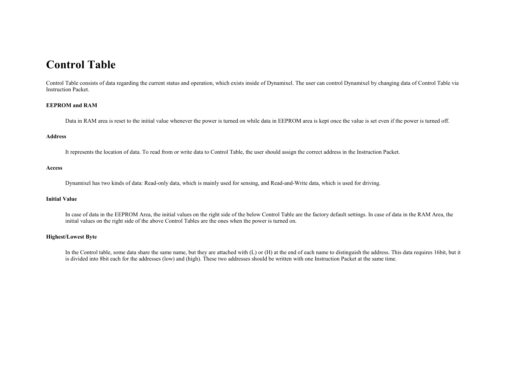# **Control Table**

Control Table consists of data regarding the current status and operation, which exists inside of Dynamixel. The user can control Dynamixel by changing data of Control Table via Instruction Packet.

#### **EEPROM and RAM**

Data in RAM area is reset to the initial value whenever the power is turned on while data in EEPROM area is kept once the value is set even if the power is turned off.

#### **Address**

It represents the location of data. To read from or write data to Control Table, the user should assign the correct address in the Instruction Packet.

#### **Access**

Dynamixel has two kinds of data: Read-only data, which is mainly used for sensing, and Read-and-Write data, which is used for driving.

#### **Initial Value**

In case of data in the EEPROM Area, the initial values on the right side of the below Control Table are the factory default settings. In case of data in the RAM Area, the initial values on the right side of the above Control Tables are the ones when the power is turned on.

#### **Highest/Lowest Byte**

In the Control table, some data share the same name, but they are attached with (L) or (H) at the end of each name to distinguish the address. This data requires 16bit, but it is divided into 8bit each for the addresses (low) and (high). These two addresses should be written with one Instruction Packet at the same time.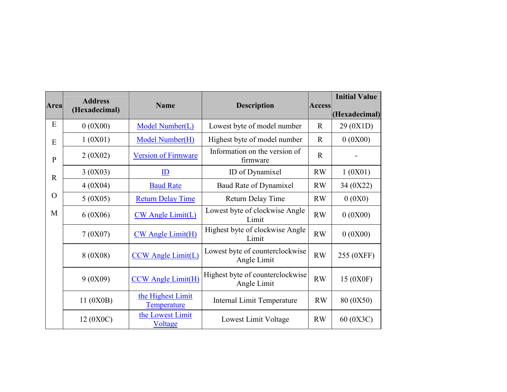| Area         | <b>Address</b><br>(Hexadecimal) | <b>Name</b>                             | <b>Description</b>                              | <b>Access</b> | <b>Initial Value</b><br>(Hexadecimal) |
|--------------|---------------------------------|-----------------------------------------|-------------------------------------------------|---------------|---------------------------------------|
| E            | 0(0X00)                         | Model Number(L)                         | Lowest byte of model number                     | $\mathbf R$   | 29 (0X1D)                             |
| E            | 1(0X01)                         | <b>Model Number(H)</b>                  | Highest byte of model number                    | $\mathbb{R}$  | 0(0X00)                               |
| $\mathbf{P}$ | 2(0X02)                         | <b>Version of Firmware</b>              | Information on the version of<br>firmware       | $\mathbf R$   |                                       |
| $\mathbf R$  | 3(0X03)                         | ID                                      | ID of Dynamixel                                 | <b>RW</b>     | 1(0X01)                               |
|              | 4(0X04)                         | <b>Baud Rate</b>                        | Baud Rate of Dynamixel                          | RW            | 34 (0X22)                             |
| O            | 5(0X05)                         | <b>Return Delay Time</b>                | Return Delay Time                               | <b>RW</b>     | 0(0X0)                                |
| M            | 6(0X06)                         | $CW$ Angle Limit(L)                     | Lowest byte of clockwise Angle<br>Limit         | <b>RW</b>     | 0(0X00)                               |
|              | 7(0X07)                         | <b>CW</b> Angle Limit(H)                | Highest byte of clockwise Angle<br>Limit        | <b>RW</b>     | 0(0X00)                               |
|              | 8 (0X08)                        | <b>CCW</b> Angle Limit(L)               | Lowest byte of counterclockwise<br>Angle Limit  | RW            | 255 (0XFF)                            |
|              | 9(0X09)                         | <b>CCW</b> Angle Limit(H)               | Highest byte of counterclockwise<br>Angle Limit | <b>RW</b>     | 15 (0X0F)                             |
|              | 11 (0X0B)                       | the Highest Limit<br><b>Temperature</b> | Internal Limit Temperature                      | <b>RW</b>     | 80 (0X50)                             |
|              | 12 (0X0C)                       | the Lowest Limit<br>Voltage             | Lowest Limit Voltage                            | <b>RW</b>     | 60 (0X3C)                             |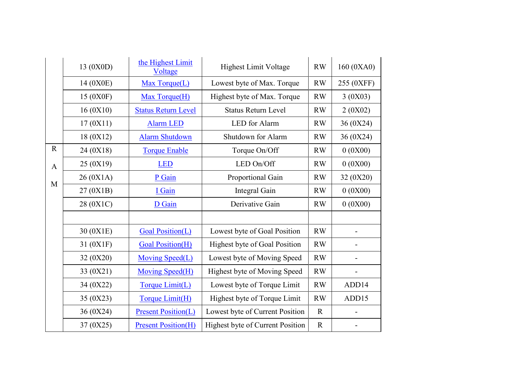|              | 13 (0X0D) | the Highest Limit<br>Voltage | <b>Highest Limit Voltage</b>     | <b>RW</b>   | 160 (0XA0)               |
|--------------|-----------|------------------------------|----------------------------------|-------------|--------------------------|
|              | 14 (0X0E) | Max Torque(L)                | Lowest byte of Max. Torque       | <b>RW</b>   | 255 (0XFF)               |
|              | 15 (0X0F) | Max Torque(H)                | Highest byte of Max. Torque      | <b>RW</b>   | 3(0X03)                  |
|              | 16(0X10)  | <b>Status Return Level</b>   | <b>Status Return Level</b>       | <b>RW</b>   | 2(0X02)                  |
|              | 17(0X11)  | <b>Alarm LED</b>             | LED for Alarm                    | <b>RW</b>   | 36 (0X24)                |
|              | 18 (0X12) | <b>Alarm Shutdown</b>        | Shutdown for Alarm               | <b>RW</b>   | 36 (0X24)                |
| $\mathbf R$  | 24 (0X18) | <b>Torque Enable</b>         | Torque On/Off                    | <b>RW</b>   | 0(0X00)                  |
| $\mathbf{A}$ | 25 (0X19) | <b>LED</b>                   | LED On/Off                       | <b>RW</b>   | 0(0X00)                  |
|              | 26 (0X1A) | P Gain                       | Proportional Gain                | <b>RW</b>   | 32 (0X20)                |
| M            | 27 (0X1B) | I Gain                       | Integral Gain                    | <b>RW</b>   | 0(0X00)                  |
|              | 28 (0X1C) | D Gain                       | Derivative Gain                  | <b>RW</b>   | 0(0X00)                  |
|              |           |                              |                                  |             |                          |
|              | 30 (0X1E) | Goal Position(L)             | Lowest byte of Goal Position     | <b>RW</b>   |                          |
|              | 31 (0X1F) | <b>Goal Position(H)</b>      | Highest byte of Goal Position    | <b>RW</b>   |                          |
|              | 32 (0X20) | <b>Moving Speed(L)</b>       | Lowest byte of Moving Speed      | <b>RW</b>   |                          |
|              | 33 (0X21) | <b>Moving Speed(H)</b>       | Highest byte of Moving Speed     | <b>RW</b>   | $\overline{\phantom{0}}$ |
|              | 34 (0X22) | Torque Limit(L)              | Lowest byte of Torque Limit      | <b>RW</b>   | ADD14                    |
|              | 35 (0X23) | Torque Limit(H)              | Highest byte of Torque Limit     | <b>RW</b>   | ADD15                    |
|              | 36 (0X24) | <b>Present Position(L)</b>   | Lowest byte of Current Position  | $\mathbf R$ |                          |
|              | 37 (0X25) | <b>Present Position(H)</b>   | Highest byte of Current Position | $\mathbf R$ |                          |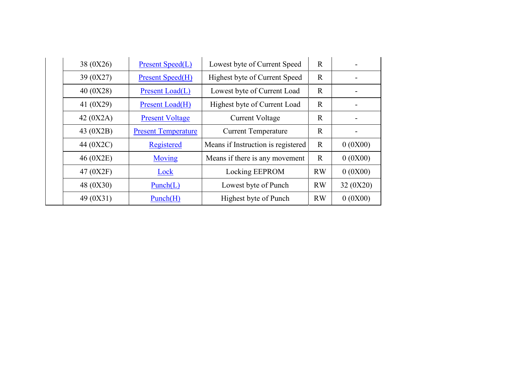| 38 (0X26) | <b>Present Speed(L)</b>    | Lowest byte of Current Speed       |             |           |
|-----------|----------------------------|------------------------------------|-------------|-----------|
| 39 (0X27) | <b>Present Speed(H)</b>    | Highest byte of Current Speed      | $\mathbf R$ |           |
| 40 (0X28) | <b>Present Load(L)</b>     | Lowest byte of Current Load        | R           |           |
| 41 (0X29) | <b>Present Load(H)</b>     | Highest byte of Current Load       | $\mathbf R$ |           |
| 42 (0X2A) | <b>Present Voltage</b>     | <b>Current Voltage</b>             |             |           |
| 43 (0X2B) | <b>Present Temperature</b> | <b>Current Temperature</b>         |             |           |
| 44 (0X2C) | Registered                 | Means if Instruction is registered |             | 0(0X00)   |
| 46 (0X2E) | <b>Moving</b>              | Means if there is any movement     | $\mathbf R$ | 0(0X00)   |
| 47 (0X2F) | Lock                       | Locking EEPROM                     | <b>RW</b>   | 0(0X00)   |
| 48 (0X30) | Punch(L)                   | Lowest byte of Punch               | <b>RW</b>   | 32 (0X20) |
| 49 (0X31) | Punch(H)                   | Highest byte of Punch              | <b>RW</b>   | 0(0X00)   |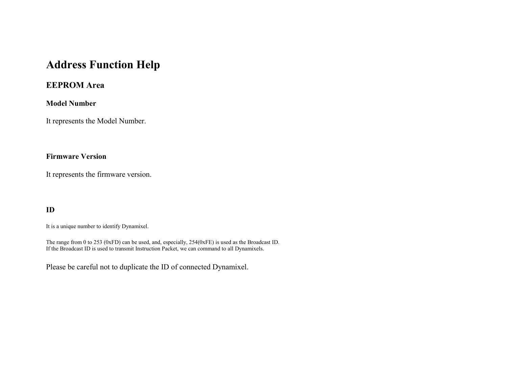# **Address Function Help**

# **EEPROM Area**

### **Model Number**

It represents the Model Number.

## **Firmware Version**

It represents the firmware version.

### **ID**

It is a unique number to identify Dynamixel.

The range from 0 to 253 (0xFD) can be used, and, especially, 254(0xFE) is used as the Broadcast ID. If the Broadcast ID is used to transmit Instruction Packet, we can command to all Dynamixels.

Please be careful not to duplicate the ID of connected Dynamixel.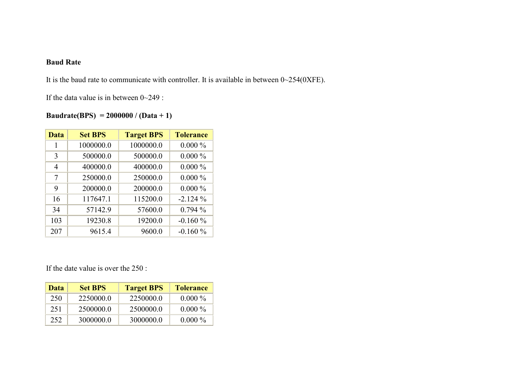### **Baud Rate**

It is the baud rate to communicate with controller. It is available in between 0~254(0XFE).

If the data value is in between 0~249 :

## **Baudrate(BPS) = 2000000 / (Data + 1)**

| <b>Data</b>    | <b>Set BPS</b> | <b>Target BPS</b> | <b>Tolerance</b> |
|----------------|----------------|-------------------|------------------|
| 1              | 1000000.0      | 1000000.0         | $0.000\%$        |
| 3              | 500000.0       | 500000.0          | $0.000\%$        |
| $\overline{4}$ | 400000.0       | 400000.0          | $0.000\%$        |
| 7              | 250000.0       | 250000.0          | $0.000\%$        |
| 9              | 200000.0       | 200000.0          | $0.000\%$        |
| 16             | 117647.1       | 115200.0          | $-2.124%$        |
| 34             | 57142.9        | 57600.0           | 0.794%           |
| 103            | 19230.8        | 19200.0           | $-0.160%$        |
| 207            | 9615.4         | 9600.0            | $-0.160%$        |

If the date value is over the 250 :

| Data | <b>Set BPS</b> | <b>Target BPS</b> | <b>Tolerance</b> |
|------|----------------|-------------------|------------------|
| 250  | 2250000.0      | 2250000 0         | $0.000\%$        |
| 251  | 2500000.0      | 2500000 0         | $0.000\%$        |
| 252  | 3000000 0      | 3000000 0         | $0.000\%$        |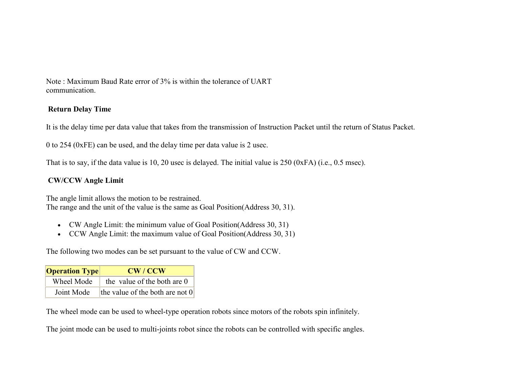Note : Maximum Baud Rate error of 3% is within the tolerance of UART communication.

### **Return Delay Time**

It is the delay time per data value that takes from the transmission of Instruction Packet until the return of Status Packet.

0 to 254 (0xFE) can be used, and the delay time per data value is 2 usec.

That is to say, if the data value is 10, 20 usec is delayed. The initial value is 250 (0xFA) (i.e., 0.5 msec).

### **CW/CCW Angle Limit**

The angle limit allows the motion to be restrained. The range and the unit of the value is the same as Goal Position(Address 30, 31).

- CW Angle Limit: the minimum value of Goal Position(Address 30, 31)
- CCW Angle Limit: the maximum value of Goal Position(Address 30, 31)

The following two modes can be set pursuant to the value of CW and CCW.

| <b>Operation Type</b> | CW/CCW                            |
|-----------------------|-----------------------------------|
| Wheel Mode            | the value of the both are 0       |
| Joint Mode            | the value of the both are not $0$ |

The wheel mode can be used to wheel-type operation robots since motors of the robots spin infinitely.

The joint mode can be used to multi-joints robot since the robots can be controlled with specific angles.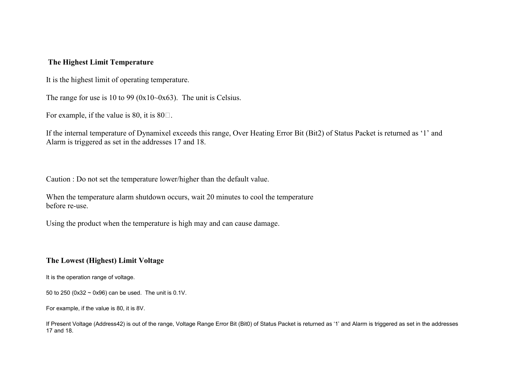#### **The Highest Limit Temperature**

It is the highest limit of operating temperature.

The range for use is 10 to 99 ( $0x10~\text{Ox}63$ ). The unit is Celsius.

For example, if the value is 80, it is 80A.

If the internal temperature of Dynamixel exceeds this range, Over Heating Error Bit (Bit2) of Status Packet is returned as '1' and Alarm is triggered as set in the addresses 17 and 18.

Caution : Do not set the temperature lower/higher than the default value.

When the temperature alarm shutdown occurs, wait 20 minutes to cool the temperature before re-use.

Using the product when the temperature is high may and can cause damage.

#### **The Lowest (Highest) Limit Voltage**

It is the operation range of voltage.

50 to 250 (0x32 ~ 0x96) can be used. The unit is 0.1V.

For example, if the value is 80, it is 8V.

If Present Voltage (Address42) is out of the range, Voltage Range Error Bit (Bit0) of Status Packet is returned as '1' and Alarm is triggered as set in the addresses 17 and 18.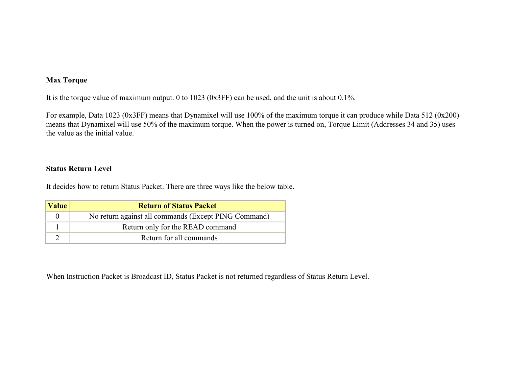### **Max Torque**

It is the torque value of maximum output. 0 to 1023 (0x3FF) can be used, and the unit is about 0.1%.

For example, Data 1023 (0x3FF) means that Dynamixel will use 100% of the maximum torque it can produce while Data 512 (0x200) means that Dynamixel will use 50% of the maximum torque. When the power is turned on, Torque Limit (Addresses 34 and 35) uses the value as the initial value.

### **Status Return Level**

It decides how to return Status Packet. There are three ways like the below table.

| <b>Value</b> | <b>Return of Status Packet</b>                       |  |  |  |  |  |
|--------------|------------------------------------------------------|--|--|--|--|--|
|              | No return against all commands (Except PING Command) |  |  |  |  |  |
|              | Return only for the READ command                     |  |  |  |  |  |
|              | Return for all commands                              |  |  |  |  |  |

When Instruction Packet is Broadcast ID, Status Packet is not returned regardless of Status Return Level.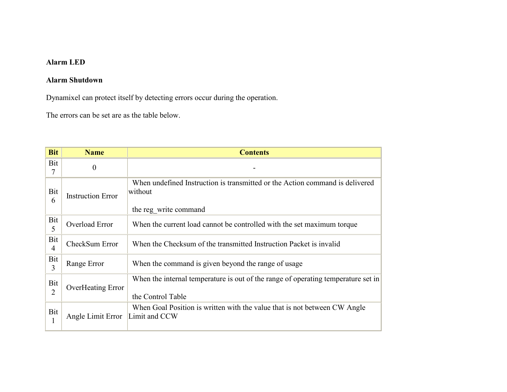# **Alarm LED**

## **Alarm Shutdown**

Dynamixel can protect itself by detecting errors occur during the operation.

The errors can be set are as the table below.

| <b>Bit</b>            | <b>Name</b>              | <b>Contents</b>                                                                                        |
|-----------------------|--------------------------|--------------------------------------------------------------------------------------------------------|
| Bit                   | 0                        |                                                                                                        |
| <b>Bit</b><br>6       | <b>Instruction Error</b> | When undefined Instruction is transmitted or the Action command is delivered<br>without                |
|                       |                          | the reg write command                                                                                  |
| Bit<br>5              | Overload Error           | When the current load cannot be controlled with the set maximum torque                                 |
| Bit<br>$\overline{4}$ | CheckSum Error           | When the Checksum of the transmitted Instruction Packet is invalid                                     |
| Bit<br>3              | Range Error              | When the command is given beyond the range of usage                                                    |
| Bit<br>$\overline{2}$ | <b>OverHeating Error</b> | When the internal temperature is out of the range of operating temperature set in<br>the Control Table |
| Bit                   | Angle Limit Error        | When Goal Position is written with the value that is not between CW Angle<br>Limit and CCW             |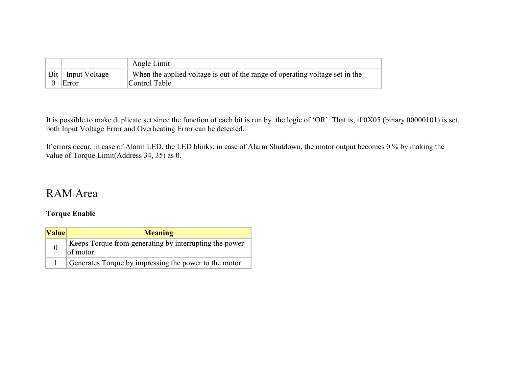|            |                        | Angle Limit                                                                                   |
|------------|------------------------|-----------------------------------------------------------------------------------------------|
| $Bit \mid$ | Input Voltage<br>Error | When the applied voltage is out of the range of operating voltage set in the<br>Control Table |

It is possible to make duplicate set since the function of each bit is run by the logic of 'OR'. That is, if 0X05 (binary 00000101) is set, both Input Voltage Error and Overheating Error can be detected.

If errors occur, in case of Alarm LED, the LED blinks; in case of Alarm Shutdown, the motor output becomes 0 % by making the value of Torque Limit(Address 34, 35) as 0.

# RAM Area

## **Torque Enable**

| <b>Value</b> | <b>Meaning</b>                                                      |  |  |  |  |  |
|--------------|---------------------------------------------------------------------|--|--|--|--|--|
| 0            | Keeps Torque from generating by interrupting the power<br>of motor. |  |  |  |  |  |
|              | Generates Torque by impressing the power to the motor.              |  |  |  |  |  |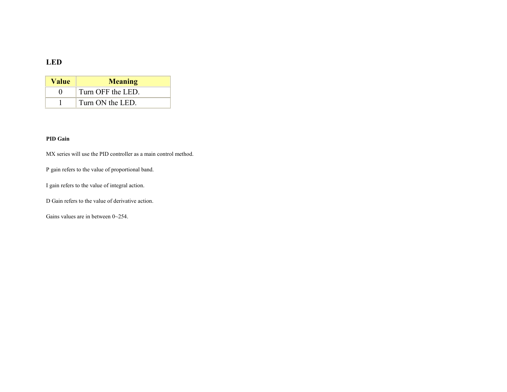# **LED**

| <b>Value</b> | <b>Meaning</b>    |
|--------------|-------------------|
|              | Turn OFF the LED. |
|              | Turn ON the LED.  |

#### **PID Gain**

MX series will use the PID controller as a main control method.

P gain refers to the value of proportional band.

I gain refers to the value of integral action.

D Gain refers to the value of derivative action.

Gains values are in between 0~254.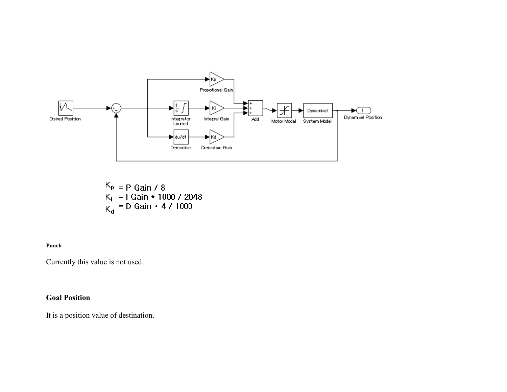

$$
K_{\rm p} = P \text{ Gain} / 8
$$
  
\n
$$
K_{\rm i} = I \text{ Gain} + 1000 / 2048
$$
  
\n
$$
K_{\rm d} = D \text{ Gain} + 4 / 1000
$$

**Punch**

Currently this value is not used.

**Goal Position** 

It is a position value of destination.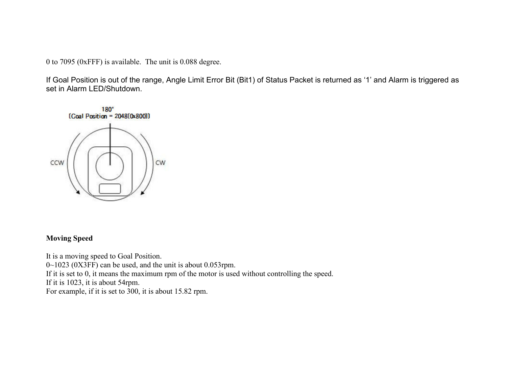0 to 7095 (0xFFF) is available. The unit is 0.088 degree.

If Goal Position is out of the range, Angle Limit Error Bit (Bit1) of Status Packet is returned as '1' and Alarm is triggered as set in Alarm LED/Shutdown.



# **Moving Speed**

It is a moving speed to Goal Position. 0~1023 (0X3FF) can be used, and the unit is about 0.053rpm. If it is set to 0, it means the maximum rpm of the motor is used without controlling the speed. If it is 1023, it is about 54rpm. For example, if it is set to 300, it is about 15.82 rpm.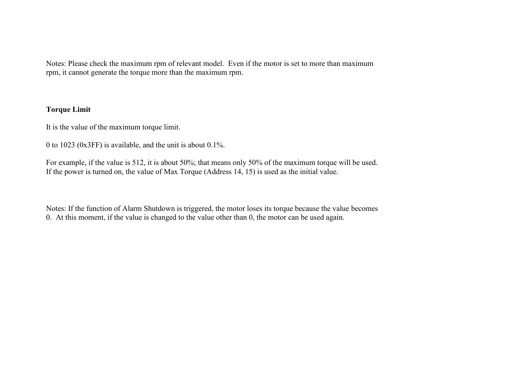Notes: Please check the maximum rpm of relevant model. Even if the motor is set to more than maximum rpm, it cannot generate the torque more than the maximum rpm.

### **Torque Limit**

It is the value of the maximum torque limit.

0 to 1023 (0x3FF) is available, and the unit is about 0.1%.

For example, if the value is 512, it is about 50%; that means only 50% of the maximum torque will be used.If the power is turned on, the value of Max Torque (Address 14, 15) is used as the initial value.

Notes: If the function of Alarm Shutdown is triggered, the motor loses its torque because the value becomes 0. At this moment, if the value is changed to the value other than 0, the motor can be used again.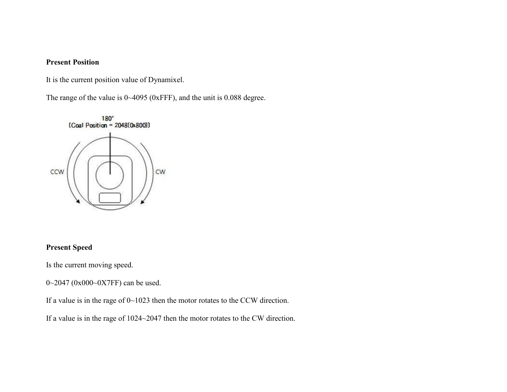## **Present Position**

It is the current position value of Dynamixel.

The range of the value is 0~4095 (0xFFF), and the unit is 0.088 degree.



## **Present Speed**

Is the current moving speed.

0~2047 (0x000~0X7FF) can be used.

If a value is in the rage of 0~1023 then the motor rotates to the CCW direction.

If a value is in the rage of 1024~2047 then the motor rotates to the CW direction.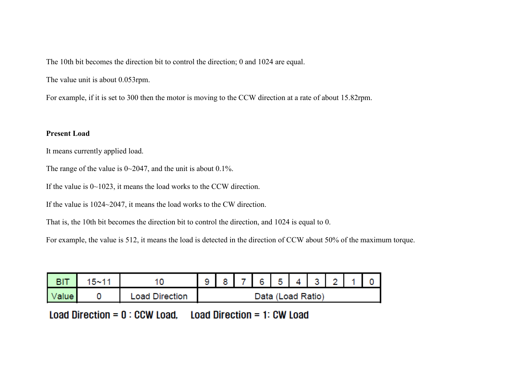The 10th bit becomes the direction bit to control the direction; 0 and 1024 are equal.

The value unit is about 0.053rpm.

For example, if it is set to 300 then the motor is moving to the CCW direction at a rate of about 15.82rpm.

## **Present Load**

It means currently applied load.

The range of the value is  $0 \sim 2047$ , and the unit is about 0.1%.

If the value is 0~1023, it means the load works to the CCW direction.

If the value is 1024~2047, it means the load works to the CW direction.

That is, the 10th bit becomes the direction bit to control the direction, and 1024 is equal to 0.

For example, the value is 512, it means the load is detected in the direction of CCW about 50% of the maximum torque.

|       | the <b>S</b> |                | a |                   | $\overline{\phantom{a}}$ | 6 | к | Δ |  |  |  |  |
|-------|--------------|----------------|---|-------------------|--------------------------|---|---|---|--|--|--|--|
| 'alue |              | oad Direction. |   | Data (Load Ratio) |                          |   |   |   |  |  |  |  |

Load Direction =  $0:$  CCW Load, Load Direction = 1: CW Load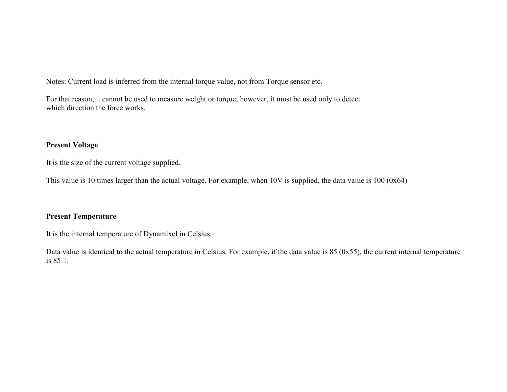Notes: Current load is inferred from the internal torque value, not from Torque sensor etc.

For that reason, it cannot be used to measure weight or torque; however, it must be used only to detect which direction the force works.

### **Present Voltage**

It is the size of the current voltage supplied.

This value is 10 times larger than the actual voltage. For example, when 10V is supplied, the data value is 100 (0x64)

## **Present Temperature**

It is the internal temperature of Dynamixel in Celsius.

Data value is identical to the actual temperature in Celsius. For example, if the data value is 85 (0x55), the current internal temperature is 85A.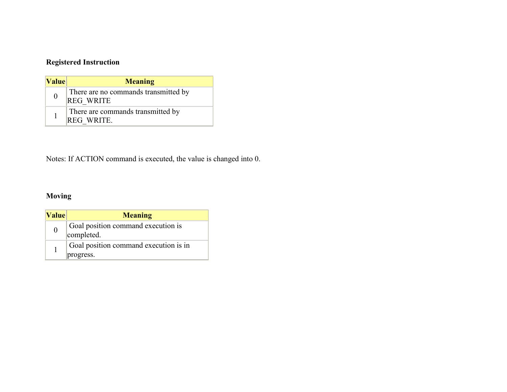### **Registered Instruction**

| <b>Value</b> | <b>Meaning</b>                                           |
|--------------|----------------------------------------------------------|
| $\theta$     | There are no commands transmitted by<br><b>REG WRITE</b> |
|              | There are commands transmitted by<br><b>REG WRITE.</b>   |

Notes: If ACTION command is executed, the value is changed into 0.

### **Moving**

| <b>Value</b>     | <b>Meaning</b>                                     |
|------------------|----------------------------------------------------|
| $\boldsymbol{0}$ | Goal position command execution is<br>completed.   |
|                  | Goal position command execution is in<br>progress. |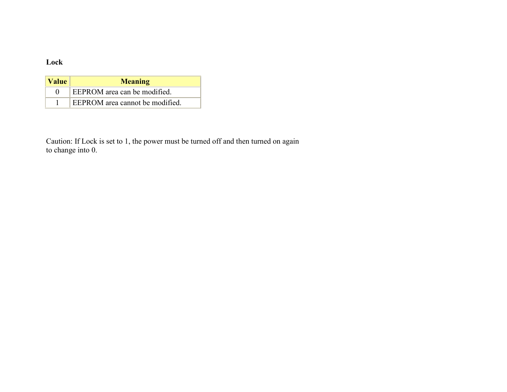# **Lock**

| Value | <b>Meaning</b>                  |
|-------|---------------------------------|
|       | EEPROM area can be modified.    |
|       | EEPROM area cannot be modified. |

Caution: If Lock is set to 1, the power must be turned off and then turned on again to change into 0.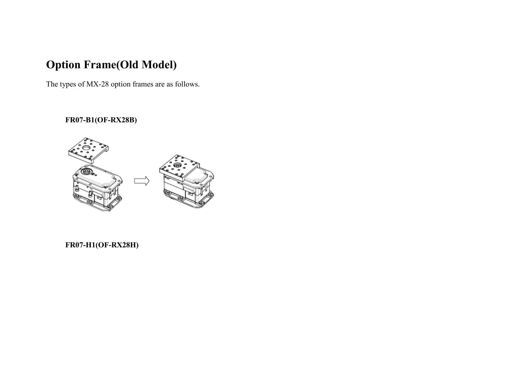# **Option Frame(Old Model)**

The types of MX-28 option frames are as follows.

# **FR07-B1(OF-RX28B)**



# **FR07-H1(OF-RX28H)**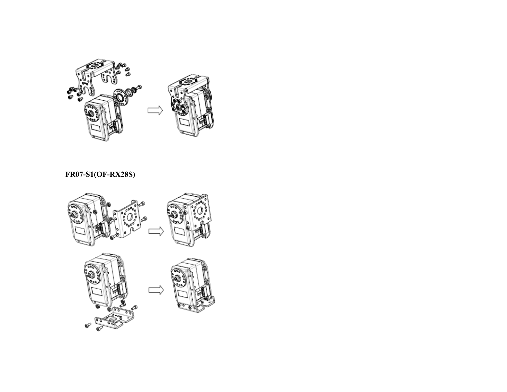



# **FR07-S1(OF-RX28S)**

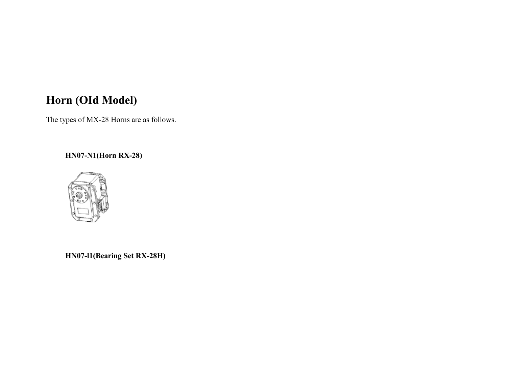# **Horn (OId Model)**

The types of MX-28 Horns are as follows.

# **HN07-N1(Horn RX-28)**



**HN07-l1(Bearing Set RX-28H)**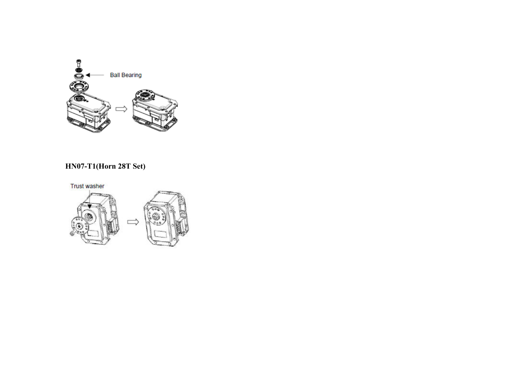

# **HN07-T1(Horn 28T Set)**



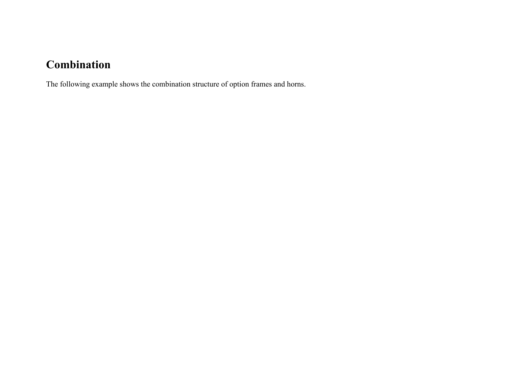# **Combination**

The following example shows the combination structure of option frames and horns.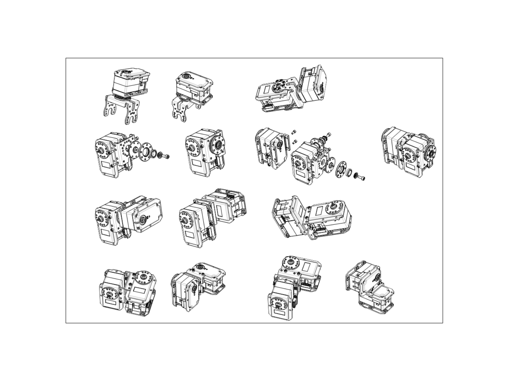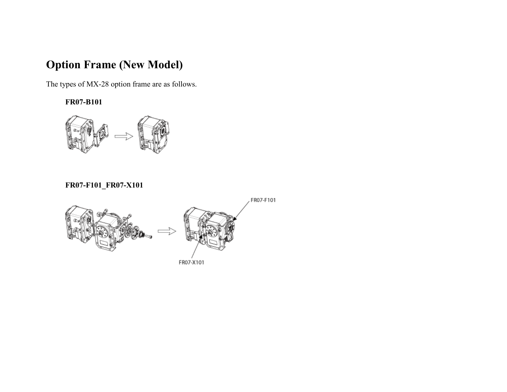# **Option Frame (New Model)**

The types of MX-28 option frame are as follows.

**FR07-B101** 



**FR07-F101\_FR07-X101** 

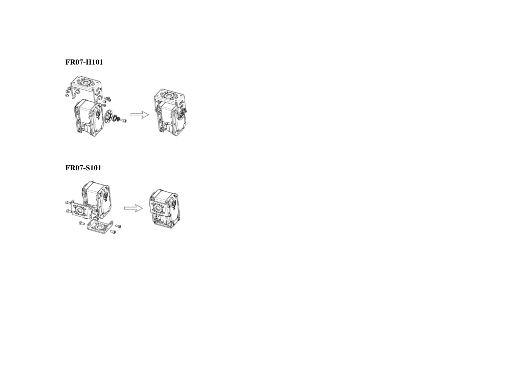#### **FR07-H101**



# **FR07-S101**

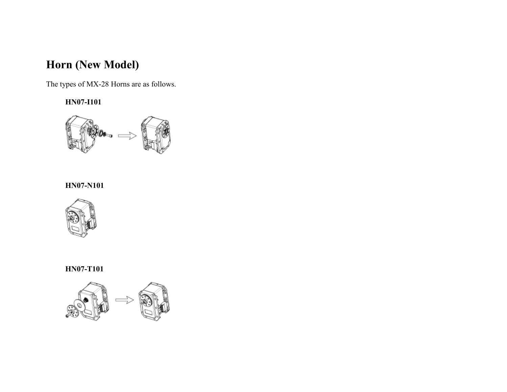# **Horn (New Model)**

The types of MX-28 Horns are as follows.

**HN07-I101** 



# **HN07-N101**



**HN07-T101**